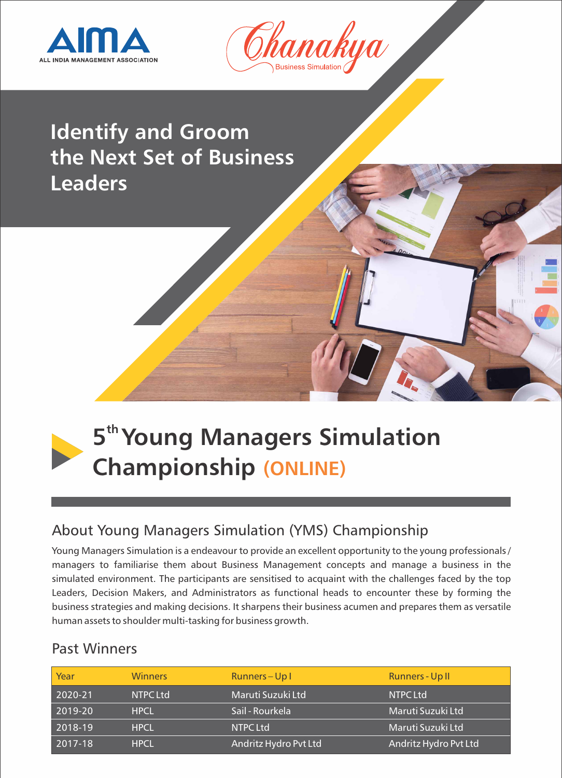



# **Identify and Groom the Next Set of Business Leaders**



# **th 5 Young Managers Simulation Championship (ONLINE)**

# About Young Managers Simulation (YMS) Championship

Young Managers Simulation is a endeavour to provide an excellent opportunity to the young professionals / managers to familiarise them about Business Management concepts and manage a business in the simulated environment. The participants are sensitised to acquaint with the challenges faced by the top Leaders, Decision Makers, and Administrators as functional heads to encounter these by forming the business strategies and making decisions. It sharpens their business acumen and prepares them as versatile human assets to shoulder multi-tasking for business growth.

### Past Winners

| Year    | <b>Winners</b>  | Runners-Up1           | Runners - Up II       |
|---------|-----------------|-----------------------|-----------------------|
| 2020-21 | <b>NTPC Ltd</b> | Maruti Suzuki Ltd     | <b>NTPC Ltd</b>       |
| 2019-20 | <b>HPCL</b>     | Sail - Rourkela       | Maruti Suzuki Ltd     |
| 2018-19 | <b>HPCL</b>     | <b>NTPC Ltd</b>       | Maruti Suzuki Ltd     |
| 2017-18 | <b>HPCL</b>     | Andritz Hydro Pvt Ltd | Andritz Hydro Pvt Ltd |